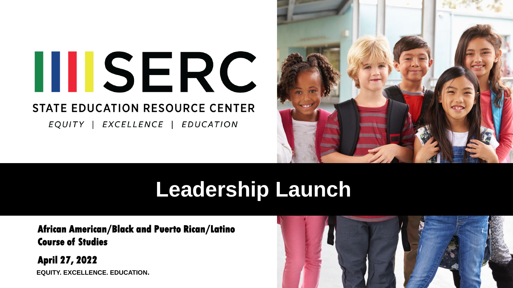

EQUITY | EXCELLENCE | EDUCATION



# **Leadership Launch**

**African American/Black and Puerto Rican/Latino Course of Studies**

**EQUITY. EXCELLENCE. EDUCATION. April 27, 2022**

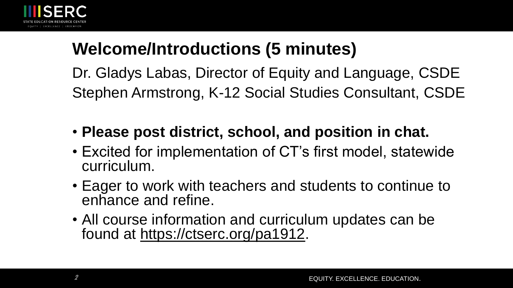

# **Welcome/Introductions (5 minutes)**

Dr. Gladys Labas, Director of Equity and Language, CSDE Stephen Armstrong, K-12 Social Studies Consultant, CSDE

- **Please post district, school, and position in chat.**
- Excited for implementation of CT's first model, statewide curriculum.
- Eager to work with teachers and students to continue to enhance and refine.
- All course information and curriculum updates can be found at<https://ctserc.org/pa1912>.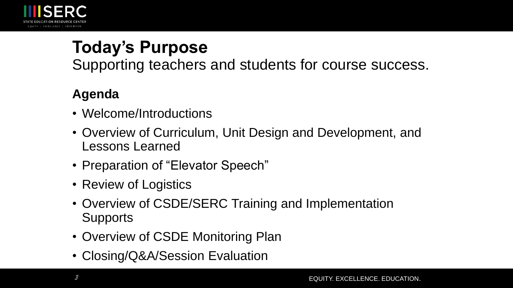

# **Today's Purpose**

Supporting teachers and students for course success.

#### **Agenda**

- Welcome/Introductions
- Overview of Curriculum, Unit Design and Development, and Lessons Learned
- Preparation of "Elevator Speech"
- Review of Logistics
- Overview of CSDE/SERC Training and Implementation **Supports**
- Overview of CSDE Monitoring Plan
- Closing/Q&A/Session Evaluation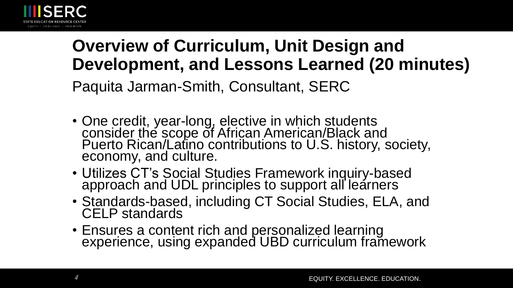

# **Overview of Curriculum, Unit Design and Development, and Lessons Learned (20 minutes)** Paquita Jarman-Smith, Consultant, SERC

- One credit, year-long, elective in which students consider the scope of African American/Black and Puerto Rican/Latino contributions to U.S. history, society, economy, and culture.
- Utilizes CT's Social Studies Framework inquiry-based approach and UDL principles to support all learners
- Standards-based, including CT Social Studies, ELA, and CELP standards
- Ensures a content rich and personalized learning experience, using expanded UBD curriculum framework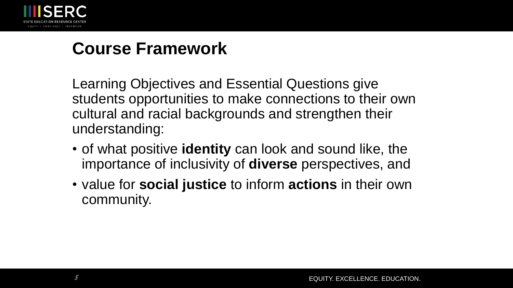

### **Course Framework**

Learning Objectives and Essential Questions give students opportunities to make connections to their own cultural and racial backgrounds and strengthen their understanding:

- of what positive **identity** can look and sound like, the importance of inclusivity of **diverse** perspectives, and
- value for **social justice** to inform **actions** in their own community.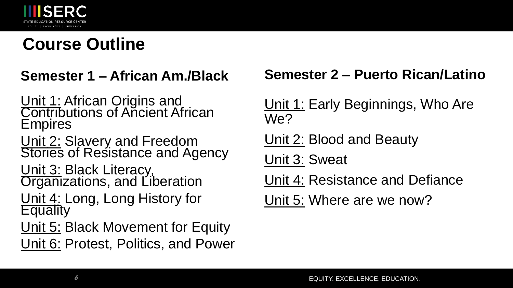

## **Course Outline**

#### **Semester 1 – African Am./Black**

Unit 1: African Origins and **Contributions of Ancient African** Empires

Unit 2: Slavery and Freedom Stories of Resistance and Agency

Unit 3: Black Literacy, **Organizations, and Liberation** 

Unit 4: Long, Long History for **Equality** 

Unit 5: Black Movement for Equity Unit 6: Protest, Politics, and Power

#### **Semester 2 – Puerto Rican/Latino**

Unit 1: Early Beginnings, Who Are We?

Unit 2: Blood and Beauty

Unit 3: Sweat

Unit 4: Resistance and Defiance

Unit 5: Where are we now?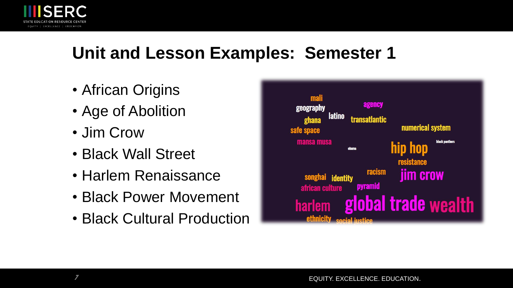

### **Unit and Lesson Examples: Semester 1**

- African Origins
- Age of Abolition
- Jim Crow
- Black Wall Street
- Harlem Renaissance
- Black Power Movement
- Black Cultural Production

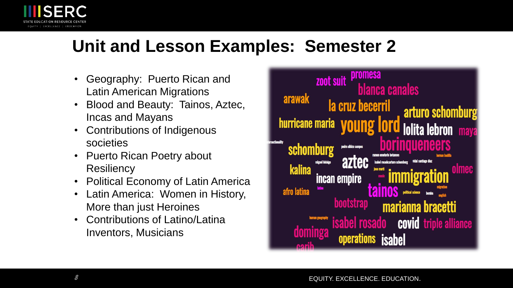

## **Unit and Lesson Examples: Semester 2**

- Geography: Puerto Rican and Latin American Migrations
- Blood and Beauty: Tainos, Aztec, Incas and Mayans
- Contributions of Indigenous societies
- Puerto Rican Poetry about **Resiliency**
- Political Economy of Latin America
- Latin America: Women in History, More than just Heroines
- Contributions of Latino/Latina Inventors, Musicians

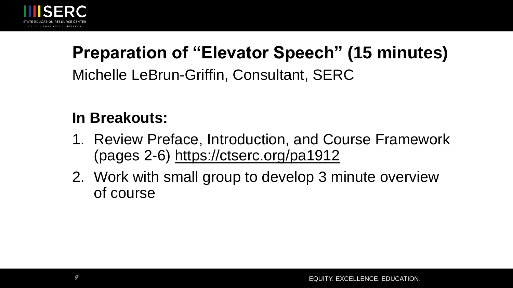

# **Preparation of "Elevator Speech" (15 minutes)** Michelle LeBrun-Griffin, Consultant, SERC

#### **In Breakouts:**

- 1. Review Preface, Introduction, and Course Framework (pages 2-6)<https://ctserc.org/pa1912>
- 2. Work with small group to develop 3 minute overview of course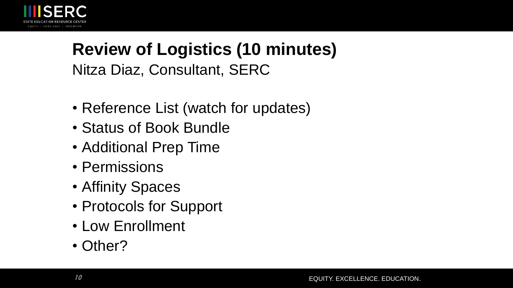

## **Review of Logistics (10 minutes)** Nitza Diaz, Consultant, SERC

- Reference List (watch for updates)
- Status of Book Bundle
- Additional Prep Time
- Permissions
- Affinity Spaces
- Protocols for Support
- Low Enrollment
- Other?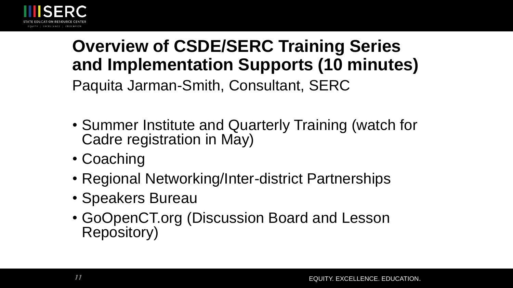

# **Overview of CSDE/SERC Training Series and Implementation Supports (10 minutes)** Paquita Jarman-Smith, Consultant, SERC

- Summer Institute and Quarterly Training (watch for Cadre registration in May)
- Coaching
- Regional Networking/Inter-district Partnerships
- Speakers Bureau
- GoOpenCT.org (Discussion Board and Lesson Repository)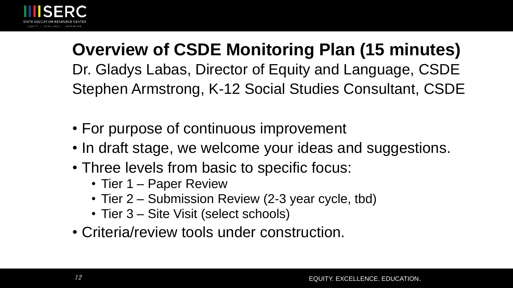

**Overview of CSDE Monitoring Plan (15 minutes)** Dr. Gladys Labas, Director of Equity and Language, CSDE Stephen Armstrong, K-12 Social Studies Consultant, CSDE

- For purpose of continuous improvement
- In draft stage, we welcome your ideas and suggestions.
- Three levels from basic to specific focus:
	- Tier 1 Paper Review
	- Tier 2 Submission Review (2-3 year cycle, tbd)
	- Tier 3 Site Visit (select schools)
- Criteria/review tools under construction.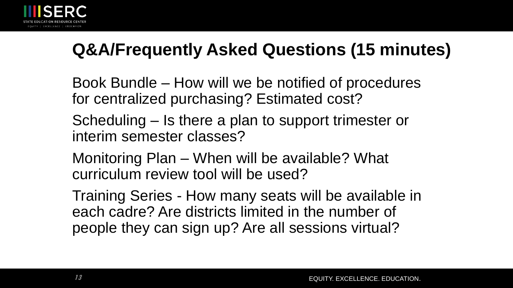

# **Q&A/Frequently Asked Questions (15 minutes)**

Book Bundle – How will we be notified of procedures for centralized purchasing? Estimated cost?

Scheduling – Is there a plan to support trimester or interim semester classes?

Monitoring Plan – When will be available? What curriculum review tool will be used?

Training Series - How many seats will be available in each cadre? Are districts limited in the number of people they can sign up? Are all sessions virtual?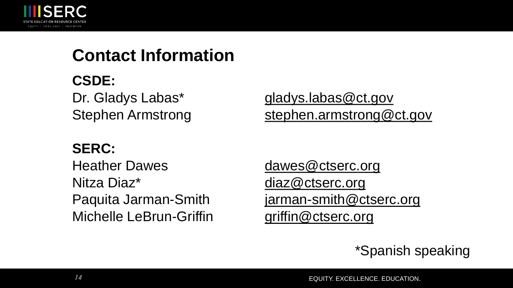

## **Contact Information**

#### **CSDE:**

Dr. Gladys Labas\* [gladys.labas@ct.gov](mailto:gladys.labas@ct.gov) Stephen Armstrong [stephen.armstrong@ct.gov](mailto:stephen.armstrong@ct.gov)

#### **SERC:**

Heather Dawes [dawes@ctserc.org](mailto:dawes@ctserc.org) Nitza Diaz<sup>\*</sup> [diaz@ctserc.org](mailto:diaz@ctserc.org) Michelle LeBrun-Griffin *[griffin@ctserc.org](mailto:griffin@ctserc.org)* 

Paquita Jarman-Smith [jarman-smith@ctserc.org](mailto:jarman-smith@ctserc.org)

\*Spanish speaking